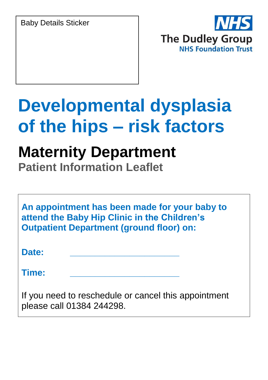Baby Details Sticker



# **Developmental dysplasia of the hips – risk factors**

## **Maternity Department**

**Patient Information Leaflet**

**An appointment has been made for your baby to attend the Baby Hip Clinic in the Children's Outpatient Department (ground floor) on:**

**Date: \_\_\_\_\_\_\_\_\_\_\_\_\_\_\_\_\_\_\_\_\_\_**

**Time: \_\_\_\_\_\_\_\_\_\_\_\_\_\_\_\_\_\_\_\_\_\_**

If you need to reschedule or cancel this appointment please call 01384 244298.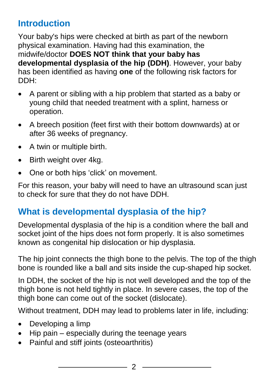#### **Introduction**

Your baby's hips were checked at birth as part of the newborn physical examination. Having had this examination, the midwife/doctor **DOES NOT think that your baby has developmental dysplasia of the hip (DDH)**. However, your baby has been identified as having **one** of the following risk factors for DDH:

- A parent or sibling with a hip problem that started as a baby or young child that needed treatment with a splint, harness or operation.
- A breech position (feet first with their bottom downwards) at or after 36 weeks of pregnancy.
- A twin or multiple birth.
- Birth weight over 4kg.
- One or both hips 'click' on movement.

For this reason, your baby will need to have an ultrasound scan just to check for sure that they do not have DDH.

### **What is developmental dysplasia of the hip?**

Developmental dysplasia of the hip is a condition where the ball and socket ioint of the hips does not form properly. It is also sometimes known as congenital hip dislocation or hip dysplasia.

The hip joint connects the thigh bone to the pelvis. The top of the thigh bone is rounded like a ball and sits inside the cup-shaped hip socket.

In DDH, the socket of the hip is not well developed and the top of the thigh bone is not held tightly in place. In severe cases, the top of the thigh bone can come out of the socket (dislocate).

Without treatment, DDH may lead to problems later in life, including:

- Developing a limp
- $\bullet$  Hip pain especially during the teenage years
- Painful and stiff joints (osteoarthritis)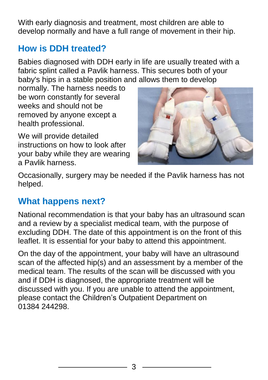With early diagnosis and treatment, most children are able to develop normally and have a full range of movement in their hip.

### **How is DDH treated?**

Babies diagnosed with DDH early in life are usually treated with a fabric splint called a Pavlik harness. This secures both of your baby's hips in a stable position and allows them to develop

normally. The harness needs to be worn constantly for several weeks and should not be removed by anyone except a health professional.

We will provide detailed instructions on how to look after your baby while they are wearing a Pavlik harness.



Occasionally, surgery may be needed if the Pavlik harness has not helped.

#### **What happens next?**

National recommendation is that your baby has an ultrasound scan and a review by a specialist medical team, with the purpose of excluding DDH. The date of this appointment is on the front of this leaflet. It is essential for your baby to attend this appointment.

On the day of the appointment, your baby will have an ultrasound scan of the affected hip(s) and an assessment by a member of the medical team. The results of the scan will be discussed with you and if DDH is diagnosed, the appropriate treatment will be discussed with you. If you are unable to attend the appointment, please contact the Children's Outpatient Department on 01384 244298.